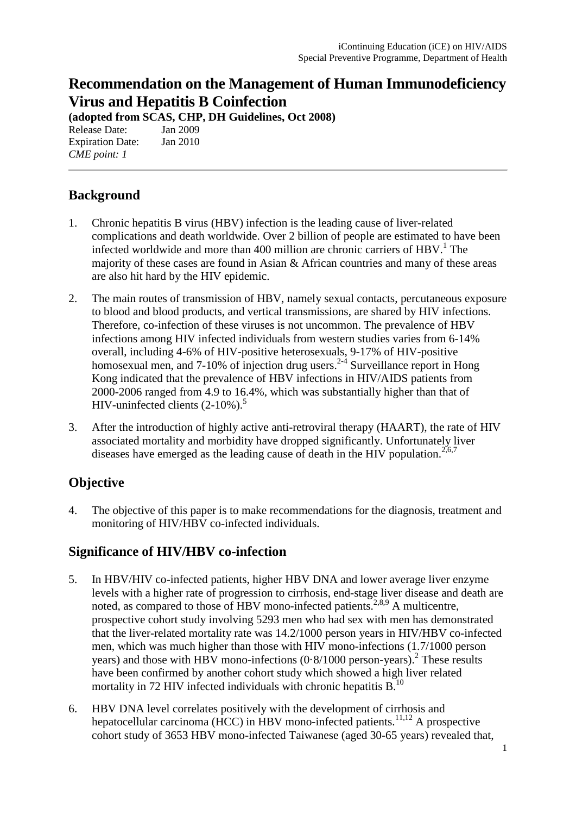# **Recommendation on the Management of Human Immunodeficiency Virus and Hepatitis B Coinfection**

**(adopted from SCAS, CHP, DH Guidelines, Oct 2008)**

Release Date: Jan 2009 Expiration Date: Jan 2010 *CME point: 1* 

## **Background**

- 1. Chronic hepatitis B virus (HBV) infection is the leading cause of liver-related complications and death worldwide. Over 2 billion of people are estimated to have been infected worldwide and more than 400 million are chronic carriers of  $HBV<sup>1</sup>$ . The majority of these cases are found in Asian & African countries and many of these areas are also hit hard by the HIV epidemic.
- 2. The main routes of transmission of HBV, namely sexual contacts, percutaneous exposure to blood and blood products, and vertical transmissions, are shared by HIV infections. Therefore, co-infection of these viruses is not uncommon. The prevalence of HBV infections among HIV infected individuals from western studies varies from 6-14% overall, including 4-6% of HIV-positive heterosexuals, 9-17% of HIV-positive homosexual men, and 7-10% of injection drug users.<sup>2-4</sup> Surveillance report in Hong Kong indicated that the prevalence of HBV infections in HIV/AIDS patients from 2000-2006 ranged from 4.9 to 16.4%, which was substantially higher than that of HIV-uninfected clients  $(2-10\%)$ .<sup>5</sup>
- 3. After the introduction of highly active anti-retroviral therapy (HAART), the rate of HIV associated mortality and morbidity have dropped significantly. Unfortunately liver diseases have emerged as the leading cause of death in the HIV population.<sup>2,6,7</sup>

## **Objective**

4. The objective of this paper is to make recommendations for the diagnosis, treatment and monitoring of HIV/HBV co-infected individuals.

### **Significance of HIV/HBV co-infection**

- 5. In HBV/HIV co-infected patients, higher HBV DNA and lower average liver enzyme levels with a higher rate of progression to cirrhosis, end-stage liver disease and death are noted, as compared to those of HBV mono-infected patients.<sup>2,8,9</sup> A multicentre, prospective cohort study involving 5293 men who had sex with men has demonstrated that the liver-related mortality rate was 14.2/1000 person years in HIV/HBV co-infected men, which was much higher than those with HIV mono-infections (1.7/1000 person years) and those with HBV mono-infections  $(0.8/1000)$  person-years).<sup>2</sup> These results have been confirmed by another cohort study which showed a high liver related mortality in 72 HIV infected individuals with chronic hepatitis  $B<sup>10</sup>$ .
- 6. HBV DNA level correlates positively with the development of cirrhosis and hepatocellular carcinoma (HCC) in HBV mono-infected patients.<sup>11,12</sup> A prospective cohort study of 3653 HBV mono-infected Taiwanese (aged 30-65 years) revealed that,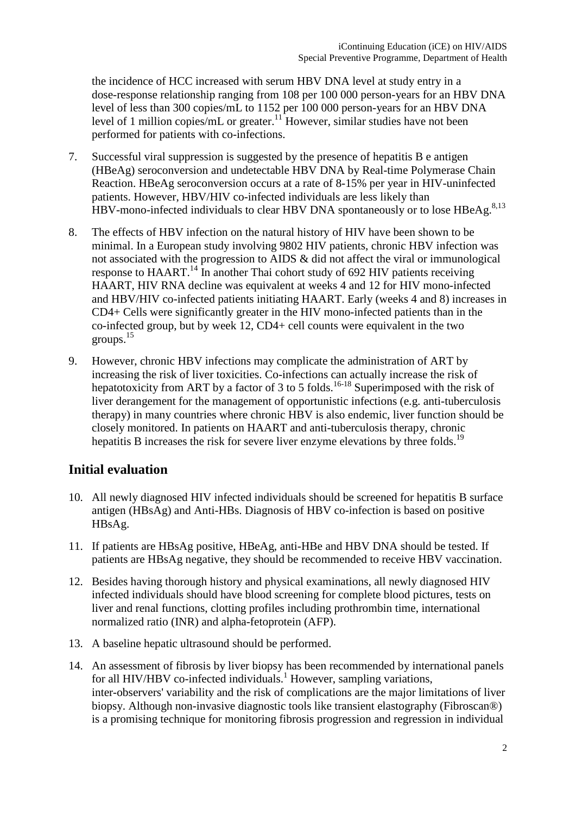the incidence of HCC increased with serum HBV DNA level at study entry in a dose-response relationship ranging from 108 per 100 000 person-years for an HBV DNA level of less than 300 copies/mL to 1152 per 100 000 person-years for an HBV DNA level of 1 million copies/mL or greater.<sup>11</sup> However, similar studies have not been performed for patients with co-infections.

- 7. Successful viral suppression is suggested by the presence of hepatitis B e antigen (HBeAg) seroconversion and undetectable HBV DNA by Real-time Polymerase Chain Reaction. HBeAg seroconversion occurs at a rate of 8-15% per year in HIV-uninfected patients. However, HBV/HIV co-infected individuals are less likely than HBV-mono-infected individuals to clear HBV DNA spontaneously or to lose HBeAg.<sup>8,13</sup>
- 8. The effects of HBV infection on the natural history of HIV have been shown to be minimal. In a European study involving 9802 HIV patients, chronic HBV infection was not associated with the progression to AIDS & did not affect the viral or immunological response to HAART.14 In another Thai cohort study of 692 HIV patients receiving HAART, HIV RNA decline was equivalent at weeks 4 and 12 for HIV mono-infected and HBV/HIV co-infected patients initiating HAART. Early (weeks 4 and 8) increases in CD4+ Cells were significantly greater in the HIV mono-infected patients than in the co-infected group, but by week 12, CD4+ cell counts were equivalent in the two groups.15
- 9. However, chronic HBV infections may complicate the administration of ART by increasing the risk of liver toxicities. Co-infections can actually increase the risk of hepatotoxicity from ART by a factor of 3 to 5 folds.<sup>16-18</sup> Superimposed with the risk of liver derangement for the management of opportunistic infections (e.g. anti-tuberculosis therapy) in many countries where chronic HBV is also endemic, liver function should be closely monitored. In patients on HAART and anti-tuberculosis therapy, chronic hepatitis B increases the risk for severe liver enzyme elevations by three folds.<sup>19</sup>

### **Initial evaluation**

- 10. All newly diagnosed HIV infected individuals should be screened for hepatitis B surface antigen (HBsAg) and Anti-HBs. Diagnosis of HBV co-infection is based on positive HBsAg.
- 11. If patients are HBsAg positive, HBeAg, anti-HBe and HBV DNA should be tested. If patients are HBsAg negative, they should be recommended to receive HBV vaccination.
- 12. Besides having thorough history and physical examinations, all newly diagnosed HIV infected individuals should have blood screening for complete blood pictures, tests on liver and renal functions, clotting profiles including prothrombin time, international normalized ratio (INR) and alpha-fetoprotein (AFP).
- 13. A baseline hepatic ultrasound should be performed.
- 14. An assessment of fibrosis by liver biopsy has been recommended by international panels for all HIV/HBV co-infected individuals.<sup>1</sup> However, sampling variations, inter-observers' variability and the risk of complications are the major limitations of liver biopsy. Although non-invasive diagnostic tools like transient elastography (Fibroscan®) is a promising technique for monitoring fibrosis progression and regression in individual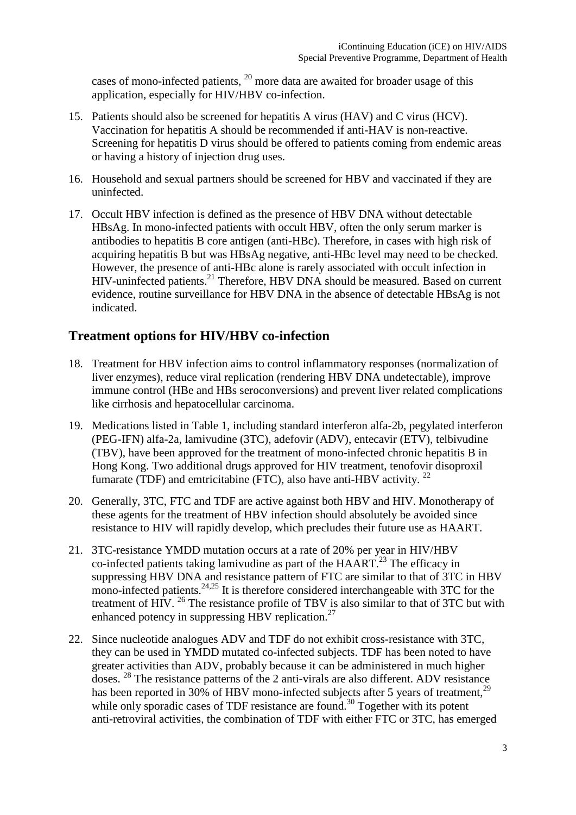cases of mono-infected patients,  $^{20}$  more data are awaited for broader usage of this application, especially for HIV/HBV co-infection.

- 15. Patients should also be screened for hepatitis A virus (HAV) and C virus (HCV). Vaccination for hepatitis A should be recommended if anti-HAV is non-reactive. Screening for hepatitis D virus should be offered to patients coming from endemic areas or having a history of injection drug uses.
- 16. Household and sexual partners should be screened for HBV and vaccinated if they are uninfected.
- 17. Occult HBV infection is defined as the presence of HBV DNA without detectable HBsAg. In mono-infected patients with occult HBV, often the only serum marker is antibodies to hepatitis B core antigen (anti-HBc). Therefore, in cases with high risk of acquiring hepatitis B but was HBsAg negative, anti-HBc level may need to be checked. However, the presence of anti-HBc alone is rarely associated with occult infection in  $HIV$ -uninfected patients.<sup>21</sup> Therefore,  $HBV$  DNA should be measured. Based on current evidence, routine surveillance for HBV DNA in the absence of detectable HBsAg is not indicated.

### **Treatment options for HIV/HBV co-infection**

- 18. Treatment for HBV infection aims to control inflammatory responses (normalization of liver enzymes), reduce viral replication (rendering HBV DNA undetectable), improve immune control (HBe and HBs seroconversions) and prevent liver related complications like cirrhosis and hepatocellular carcinoma.
- 19. Medications listed in Table 1, including standard interferon alfa-2b, pegylated interferon (PEG-IFN) alfa-2a, lamivudine (3TC), adefovir (ADV), entecavir (ETV), telbivudine (TBV), have been approved for the treatment of mono-infected chronic hepatitis B in Hong Kong. Two additional drugs approved for HIV treatment, tenofovir disoproxil fumarate (TDF) and emtricitabine (FTC), also have anti-HBV activity.  $^{22}$
- 20. Generally, 3TC, FTC and TDF are active against both HBV and HIV. Monotherapy of these agents for the treatment of HBV infection should absolutely be avoided since resistance to HIV will rapidly develop, which precludes their future use as HAART.
- 21. 3TC-resistance YMDD mutation occurs at a rate of 20% per year in HIV/HBV co-infected patients taking lamivudine as part of the HAART.<sup>23</sup> The efficacy in suppressing HBV DNA and resistance pattern of FTC are similar to that of 3TC in HBV mono-infected patients. $24.25$  It is therefore considered interchangeable with 3TC for the treatment of HIV.  $^{26}$  The resistance profile of TBV is also similar to that of 3TC but with enhanced potency in suppressing HBV replication. $27$
- 22. Since nucleotide analogues ADV and TDF do not exhibit cross-resistance with 3TC, they can be used in YMDD mutated co-infected subjects. TDF has been noted to have greater activities than ADV, probably because it can be administered in much higher doses. <sup>28</sup> The resistance patterns of the 2 anti-virals are also different. ADV resistance has been reported in 30% of HBV mono-infected subjects after 5 years of treatment,<sup>29</sup> while only sporadic cases of TDF resistance are found.<sup>30</sup> Together with its potent anti-retroviral activities, the combination of TDF with either FTC or 3TC, has emerged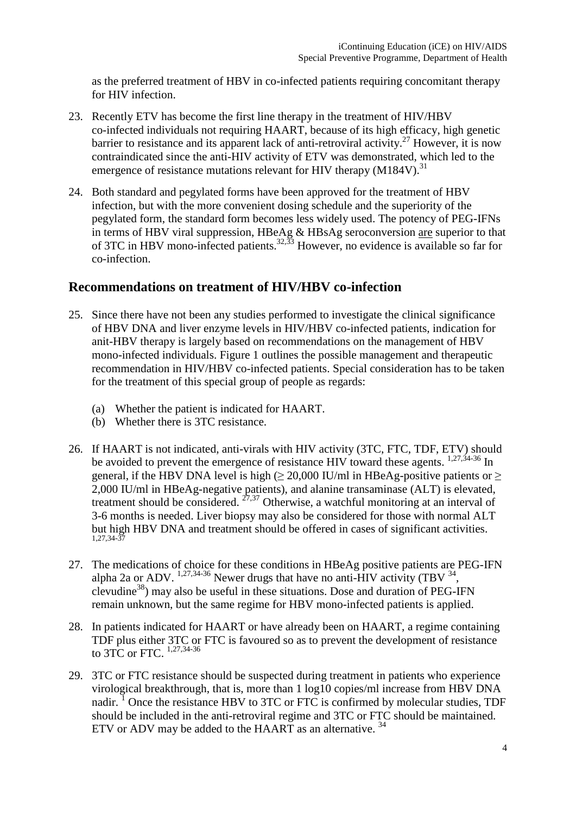as the preferred treatment of HBV in co-infected patients requiring concomitant therapy for HIV infection.

- 23. Recently ETV has become the first line therapy in the treatment of HIV/HBV co-infected individuals not requiring HAART, because of its high efficacy, high genetic barrier to resistance and its apparent lack of anti-retroviral activity.<sup>27</sup> However, it is now contraindicated since the anti-HIV activity of ETV was demonstrated, which led to the emergence of resistance mutations relevant for HIV therapy  $(M184V)^{31}$
- 24. Both standard and pegylated forms have been approved for the treatment of HBV infection, but with the more convenient dosing schedule and the superiority of the pegylated form, the standard form becomes less widely used. The potency of PEG-IFNs in terms of HBV viral suppression, HBeAg & HBsAg seroconversion are superior to that of 3TC in HBV mono-infected patients.<sup>32,33</sup> However, no evidence is available so far for co-infection.

#### **Recommendations on treatment of HIV/HBV co-infection**

- 25. Since there have not been any studies performed to investigate the clinical significance of HBV DNA and liver enzyme levels in HIV/HBV co-infected patients, indication for anit-HBV therapy is largely based on recommendations on the management of HBV mono-infected individuals. Figure 1 outlines the possible management and therapeutic recommendation in HIV/HBV co-infected patients. Special consideration has to be taken for the treatment of this special group of people as regards:
	- (a) Whether the patient is indicated for HAART.
	- (b) Whether there is 3TC resistance.
- 26. If HAART is not indicated, anti-virals with HIV activity (3TC, FTC, TDF, ETV) should be avoided to prevent the emergence of resistance HIV toward these agents.  $\frac{1,27,34-36}{1,27,34-36}$  In general, if the HBV DNA level is high  $\geq$  20,000 IU/ml in HBeAg-positive patients or  $\geq$ 2,000 IU/ml in HBeAg-negative patients), and alanine transaminase (ALT) is elevated, treatment should be considered.  $27,37$  Otherwise, a watchful monitoring at an interval of 3-6 months is needed. Liver biopsy may also be considered for those with normal ALT but high HBV DNA and treatment should be offered in cases of significant activities. 1,27,34-37
- 27. The medications of choice for these conditions in HBeAg positive patients are PEG-IFN alpha 2a or ADV.  $^{1,27,34\cdot36}$  Newer drugs that have no anti-HIV activity (TBV  $^{34}$ , clevudine<sup>38</sup>) may also be useful in these situations. Dose and duration of PEG-IFN remain unknown, but the same regime for HBV mono-infected patients is applied.
- 28. In patients indicated for HAART or have already been on HAART, a regime containing TDF plus either 3TC or FTC is favoured so as to prevent the development of resistance to 3TC or FTC.  $^{1,27,34-36}$
- 29. 3TC or FTC resistance should be suspected during treatment in patients who experience virological breakthrough, that is, more than 1 log10 copies/ml increase from HBV DNA nadir.<sup>1</sup> Once the resistance HBV to 3TC or FTC is confirmed by molecular studies, TDF should be included in the anti-retroviral regime and 3TC or FTC should be maintained. ETV or ADV may be added to the HAART as an alternative.  $34$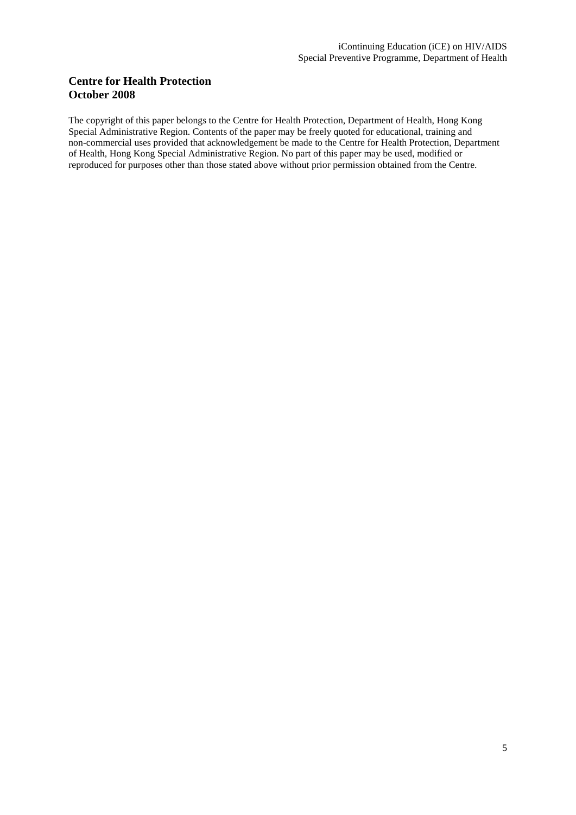#### **Centre for Health Protection October 2008**

The copyright of this paper belongs to the Centre for Health Protection, Department of Health, Hong Kong Special Administrative Region. Contents of the paper may be freely quoted for educational, training and non-commercial uses provided that acknowledgement be made to the Centre for Health Protection, Department of Health, Hong Kong Special Administrative Region. No part of this paper may be used, modified or reproduced for purposes other than those stated above without prior permission obtained from the Centre.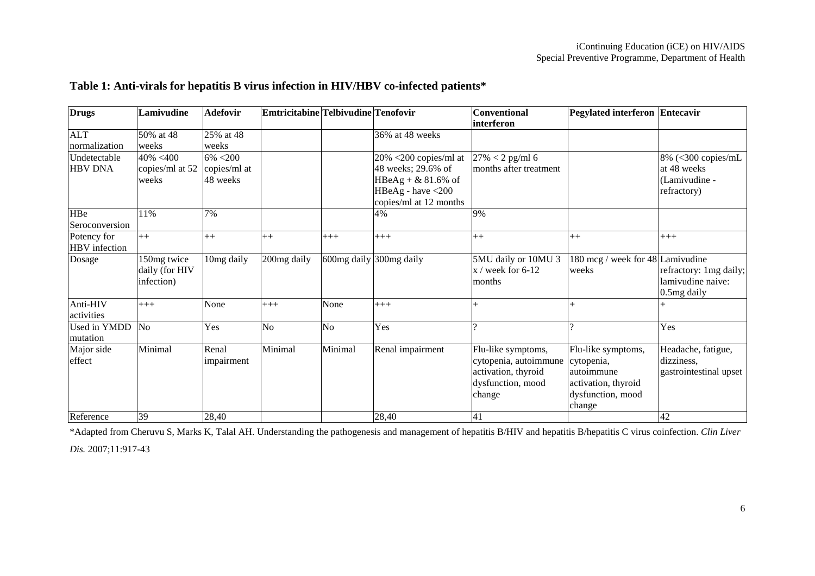| <b>Drugs</b>                   | Lamivudine                                  | <b>Adefovir</b>                     | Emtricitabine Telbivudine Tenofovir |                |                                                                                                                           | <b>Conventional</b><br><i>interferon</i>                                                          | Pegylated interferon Entecavir                                                                        |                                                                   |
|--------------------------------|---------------------------------------------|-------------------------------------|-------------------------------------|----------------|---------------------------------------------------------------------------------------------------------------------------|---------------------------------------------------------------------------------------------------|-------------------------------------------------------------------------------------------------------|-------------------------------------------------------------------|
| <b>ALT</b><br>normalization    | 50% at 48<br>weeks                          | 25% at 48<br>weeks                  |                                     |                | 36% at 48 weeks                                                                                                           |                                                                                                   |                                                                                                       |                                                                   |
| Undetectable<br><b>HBV DNA</b> | $40\% < 400$<br>copies/ml at 52<br>weeks    | 6% <200<br>copies/ml at<br>48 weeks |                                     |                | $20\%$ <200 copies/ml at<br>48 weeks; 29.6% of<br>HBeAg + $& 81.6\%$ of<br>HBeAg - have $<$ 200<br>copies/ml at 12 months | $27\% < 2$ pg/ml 6<br>months after treatment                                                      |                                                                                                       | 8% (<300 copies/mL<br>at 48 weeks<br>(Lamivudine -<br>refractory) |
| HBe<br>Seroconversion          | 11%                                         | 7%                                  |                                     |                | 4%                                                                                                                        | 9%                                                                                                |                                                                                                       |                                                                   |
| Potency for<br>HBV infection   | $++$                                        | $++$                                | $^{++}$                             | $+++$          | $+++$                                                                                                                     | $++$                                                                                              | $++$                                                                                                  | $+++$                                                             |
| Dosage                         | 150mg twice<br>daily (for HIV<br>infection) | 10mg daily                          | 200mg daily                         |                | 600mg daily 300mg daily                                                                                                   | 5MU daily or 10MU 3<br>$x /$ week for 6-12<br>months                                              | 180 mcg / week for 48 Lamivudine<br>weeks                                                             | refractory: 1mg daily;<br>lamivudine naive:<br>0.5mg daily        |
| Anti-HIV<br>activities         | $+++$                                       | None                                | $+++$                               | None           | $+++$                                                                                                                     |                                                                                                   | $\overline{+}$                                                                                        |                                                                   |
| Used in YMDD<br>mutation       | N <sub>o</sub>                              | Yes                                 | N <sub>o</sub>                      | N <sub>o</sub> | Yes                                                                                                                       |                                                                                                   | $\Omega$                                                                                              | Yes                                                               |
| Major side<br>effect           | Minimal                                     | Renal<br>impairment                 | Minimal                             | Minimal        | Renal impairment                                                                                                          | Flu-like symptoms,<br>cytopenia, autoimmune<br>activation, thyroid<br>dysfunction, mood<br>change | Flu-like symptoms,<br>cytopenia,<br>lautoimmune<br>activation, thyroid<br>dysfunction, mood<br>change | Headache, fatigue,<br>dizziness,<br>gastrointestinal upset        |
| Reference                      | 39                                          | 28,40                               |                                     |                | 28,40                                                                                                                     | 41                                                                                                |                                                                                                       | 42                                                                |

#### **Table 1: Anti-virals for hepatitis B virus infection in HIV/HBV co-infected patients\***

\*Adapted from Cheruvu S, Marks K, Talal AH. Understanding the pathogenesis and management of hepatitis B/HIV and hepatitis B/hepatitis C virus coinfection. *Clin Liver* 

*Dis.* 2007;11:917-43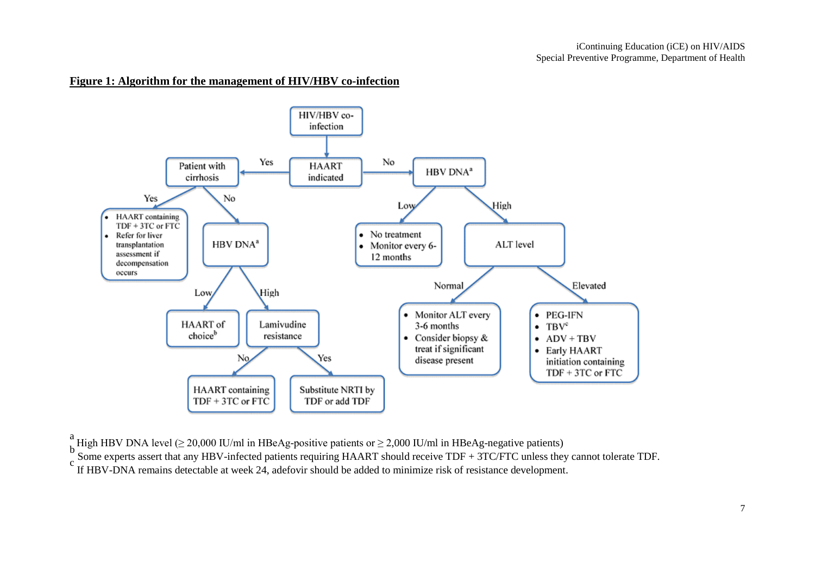#### **Figure 1: Algorithm for the management of HIV/HBV co-infection**



<sup>"</sup>High HBV DNA level ( $\geq$  20,000 IU/ml in HBeAg-positive patients or  $\geq$  2,000 IU/ml in HBeAg-negative patients)

 $\frac{b}{c}$  Some experts assert that any HBV-infected patients requiring HAART should receive TDF + 3TC/FTC unless they cannot tolerate TDF.

If HBV-DNA remains detectable at week 24, adefovir should be added to minimize risk of resistance development.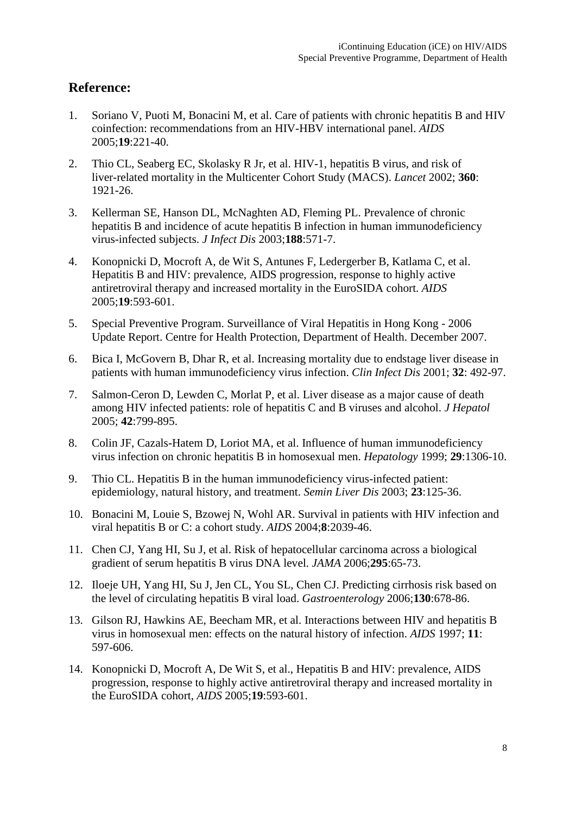### **Reference:**

- 1. Soriano V, Puoti M, Bonacini M, et al. Care of patients with chronic hepatitis B and HIV coinfection: recommendations from an HIV-HBV international panel. *AIDS*  2005;**19**:221-40.
- 2. Thio CL, Seaberg EC, Skolasky R Jr, et al. HIV-1, hepatitis B virus, and risk of liver-related mortality in the Multicenter Cohort Study (MACS). *Lancet* 2002; **360**: 1921-26.
- 3. Kellerman SE, Hanson DL, McNaghten AD, Fleming PL. Prevalence of chronic hepatitis B and incidence of acute hepatitis B infection in human immunodeficiency virus-infected subjects. *J Infect Dis* 2003;**188**:571-7.
- 4. Konopnicki D, Mocroft A, de Wit S, Antunes F, Ledergerber B, Katlama C, et al. Hepatitis B and HIV: prevalence, AIDS progression, response to highly active antiretroviral therapy and increased mortality in the EuroSIDA cohort. *AIDS* 2005;**19**:593-601.
- 5. Special Preventive Program. Surveillance of Viral Hepatitis in Hong Kong 2006 Update Report. Centre for Health Protection, Department of Health. December 2007.
- 6. Bica I, McGovern B, Dhar R, et al. Increasing mortality due to endstage liver disease in patients with human immunodeficiency virus infection. *Clin Infect Dis* 2001; **32**: 492-97.
- 7. Salmon-Ceron D, Lewden C, Morlat P, et al. Liver disease as a major cause of death among HIV infected patients: role of hepatitis C and B viruses and alcohol. *J Hepatol*  2005; **42**:799-895.
- 8. Colin JF, Cazals-Hatem D, Loriot MA, et al. Influence of human immunodeficiency virus infection on chronic hepatitis B in homosexual men. *Hepatology* 1999; **29**:1306-10.
- 9. Thio CL. Hepatitis B in the human immunodeficiency virus-infected patient: epidemiology, natural history, and treatment. *Semin Liver Dis* 2003; **23**:125-36.
- 10. Bonacini M, Louie S, Bzowej N, Wohl AR. Survival in patients with HIV infection and viral hepatitis B or C: a cohort study. *AIDS* 2004;**8**:2039-46.
- 11. Chen CJ, Yang HI, Su J, et al. Risk of hepatocellular carcinoma across a biological gradient of serum hepatitis B virus DNA level. *JAMA* 2006;**295**:65-73.
- 12. Iloeje UH, Yang HI, Su J, Jen CL, You SL, Chen CJ. Predicting cirrhosis risk based on the level of circulating hepatitis B viral load. *Gastroenterology* 2006;**130**:678-86.
- 13. Gilson RJ, Hawkins AE, Beecham MR, et al. Interactions between HIV and hepatitis B virus in homosexual men: effects on the natural history of infection. *AIDS* 1997; **11**: 597-606.
- 14. Konopnicki D, Mocroft A, De Wit S, et al., Hepatitis B and HIV: prevalence, AIDS progression, response to highly active antiretroviral therapy and increased mortality in the EuroSIDA cohort, *AIDS* 2005;**19**:593-601.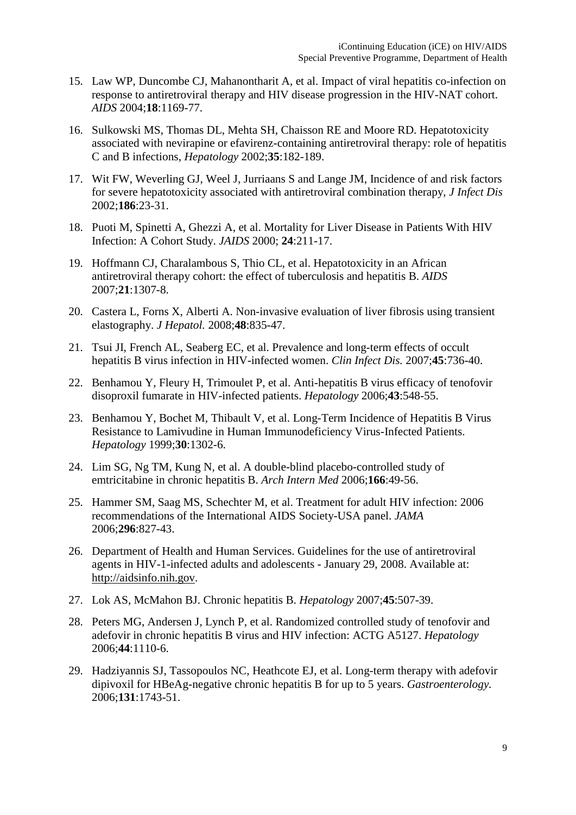- 15. Law WP, Duncombe CJ, Mahanontharit A, et al. Impact of viral hepatitis co-infection on response to antiretroviral therapy and HIV disease progression in the HIV-NAT cohort. *AIDS* 2004;**18**:1169-77.
- 16. Sulkowski MS, Thomas DL, Mehta SH, Chaisson RE and Moore RD. Hepatotoxicity associated with nevirapine or efavirenz-containing antiretroviral therapy: role of hepatitis C and B infections, *Hepatology* 2002;**35**:182-189.
- 17. Wit FW, Weverling GJ, Weel J, Jurriaans S and Lange JM, Incidence of and risk factors for severe hepatotoxicity associated with antiretroviral combination therapy, *J Infect Dis*  2002;**186**:23-31.
- 18. Puoti M, Spinetti A, Ghezzi A, et al. Mortality for Liver Disease in Patients With HIV Infection: A Cohort Study. *JAIDS* 2000; **24**:211-17.
- 19. Hoffmann CJ, Charalambous S, Thio CL, et al. Hepatotoxicity in an African antiretroviral therapy cohort: the effect of tuberculosis and hepatitis B. *AIDS* 2007;**21**:1307-8.
- 20. Castera L, Forns X, Alberti A. Non-invasive evaluation of liver fibrosis using transient elastography. *J Hepatol.* 2008;**48**:835-47.
- 21. Tsui JI, French AL, Seaberg EC, et al. Prevalence and long-term effects of occult hepatitis B virus infection in HIV-infected women. *Clin Infect Dis.* 2007;**45**:736-40.
- 22. Benhamou Y, Fleury H, Trimoulet P, et al. Anti-hepatitis B virus efficacy of tenofovir disoproxil fumarate in HIV-infected patients. *Hepatology* 2006;**43**:548-55.
- 23. Benhamou Y, Bochet M, Thibault V, et al. Long-Term Incidence of Hepatitis B Virus Resistance to Lamivudine in Human Immunodeficiency Virus-Infected Patients. *Hepatology* 1999;**30**:1302-6.
- 24. Lim SG, Ng TM, Kung N, et al. A double-blind placebo-controlled study of emtricitabine in chronic hepatitis B. *Arch Intern Med* 2006;**166**:49-56.
- 25. Hammer SM, Saag MS, Schechter M, et al. Treatment for adult HIV infection: 2006 recommendations of the International AIDS Society-USA panel. *JAMA*  2006;**296**:827-43.
- 26. Department of Health and Human Services. Guidelines for the use of antiretroviral agents in HIV-1-infected adults and adolescents - January 29, 2008. Available at: http://aidsinfo.nih.gov.
- 27. Lok AS, McMahon BJ. Chronic hepatitis B. *Hepatology* 2007;**45**:507-39.
- 28. Peters MG, Andersen J, Lynch P, et al. Randomized controlled study of tenofovir and adefovir in chronic hepatitis B virus and HIV infection: ACTG A5127. *Hepatology* 2006;**44**:1110-6.
- 29. Hadziyannis SJ, Tassopoulos NC, Heathcote EJ, et al. Long-term therapy with adefovir dipivoxil for HBeAg-negative chronic hepatitis B for up to 5 years. *Gastroenterology.*  2006;**131**:1743-51.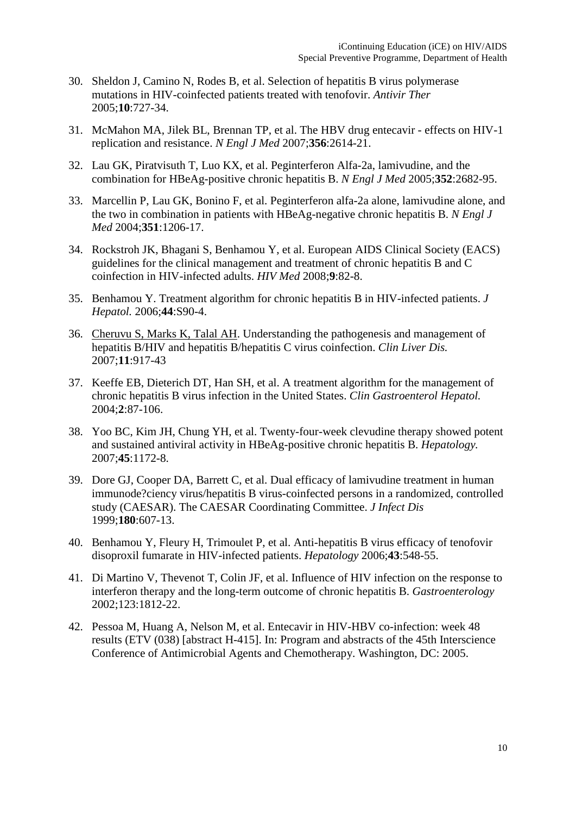- 30. Sheldon J, Camino N, Rodes B, et al. Selection of hepatitis B virus polymerase mutations in HIV-coinfected patients treated with tenofovir. *Antivir Ther*  2005;**10**:727-34.
- 31. McMahon MA, Jilek BL, Brennan TP, et al. The HBV drug entecavir effects on HIV-1 replication and resistance. *N Engl J Med* 2007;**356**:2614-21.
- 32. Lau GK, Piratvisuth T, Luo KX, et al. Peginterferon Alfa-2a, lamivudine, and the combination for HBeAg-positive chronic hepatitis B. *N Engl J Med* 2005;**352**:2682-95.
- 33. Marcellin P, Lau GK, Bonino F, et al. Peginterferon alfa-2a alone, lamivudine alone, and the two in combination in patients with HBeAg-negative chronic hepatitis B. *N Engl J Med* 2004;**351**:1206-17.
- 34. Rockstroh JK, Bhagani S, Benhamou Y, et al. European AIDS Clinical Society (EACS) guidelines for the clinical management and treatment of chronic hepatitis B and C coinfection in HIV-infected adults. *HIV Med* 2008;**9**:82-8.
- 35. Benhamou Y. Treatment algorithm for chronic hepatitis B in HIV-infected patients. *J Hepatol.* 2006;**44**:S90-4.
- 36. Cheruvu S, Marks K, Talal AH. Understanding the pathogenesis and management of hepatitis B/HIV and hepatitis B/hepatitis C virus coinfection. *Clin Liver Dis.* 2007;**11**:917-43
- 37. Keeffe EB, Dieterich DT, Han SH, et al. A treatment algorithm for the management of chronic hepatitis B virus infection in the United States. *Clin Gastroenterol Hepatol.* 2004;**2**:87-106.
- 38. Yoo BC, Kim JH, Chung YH, et al. Twenty-four-week clevudine therapy showed potent and sustained antiviral activity in HBeAg-positive chronic hepatitis B. *Hepatology.* 2007;**45**:1172-8.
- 39. Dore GJ, Cooper DA, Barrett C, et al. Dual efficacy of lamivudine treatment in human immunode?ciency virus/hepatitis B virus-coinfected persons in a randomized, controlled study (CAESAR). The CAESAR Coordinating Committee. *J Infect Dis*  1999;**180**:607-13.
- 40. Benhamou Y, Fleury H, Trimoulet P, et al. Anti-hepatitis B virus efficacy of tenofovir disoproxil fumarate in HIV-infected patients. *Hepatology* 2006;**43**:548-55.
- 41. Di Martino V, Thevenot T, Colin JF, et al. Influence of HIV infection on the response to interferon therapy and the long-term outcome of chronic hepatitis B. *Gastroenterology*  2002;123:1812-22.
- 42. Pessoa M, Huang A, Nelson M, et al. Entecavir in HIV-HBV co-infection: week 48 results (ETV (038) [abstract H-415]. In: Program and abstracts of the 45th Interscience Conference of Antimicrobial Agents and Chemotherapy. Washington, DC: 2005.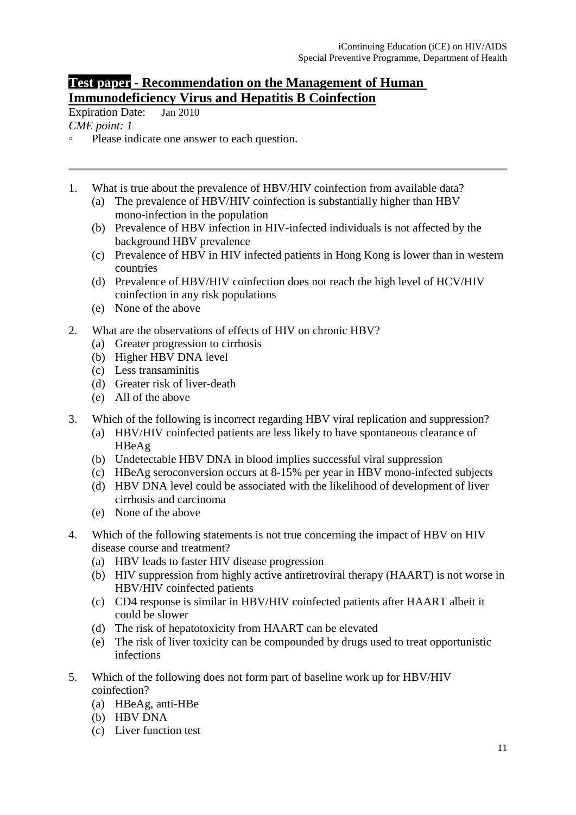### **Test paper - Recommendation on the Management of Human Immunodeficiency Virus and Hepatitis B Coinfection**

Expiration Date: Jan 2010 *CME point: 1* 

- Please indicate one answer to each question.
- 1. What is true about the prevalence of HBV/HIV coinfection from available data? (a) The prevalence of HBV/HIV coinfection is substantially higher than HBV
	- mono-infection in the population
	- (b) Prevalence of HBV infection in HIV-infected individuals is not affected by the background HBV prevalence
	- (c) Prevalence of HBV in HIV infected patients in Hong Kong is lower than in western countries
	- (d) Prevalence of HBV/HIV coinfection does not reach the high level of HCV/HIV coinfection in any risk populations
	- (e) None of the above
- 2. What are the observations of effects of HIV on chronic HBV?
	- (a) Greater progression to cirrhosis
	- (b) Higher HBV DNA level
	- (c) Less transaminitis
	- (d) Greater risk of liver-death
	- (e) All of the above
- 3. Which of the following is incorrect regarding HBV viral replication and suppression?
	- (a) HBV/HIV coinfected patients are less likely to have spontaneous clearance of HBeAg
	- (b) Undetectable HBV DNA in blood implies successful viral suppression
	- (c) HBeAg seroconversion occurs at 8-15% per year in HBV mono-infected subjects
	- (d) HBV DNA level could be associated with the likelihood of development of liver cirrhosis and carcinoma
	- (e) None of the above
- 4. Which of the following statements is not true concerning the impact of HBV on HIV disease course and treatment?
	- (a) HBV leads to faster HIV disease progression
	- (b) HIV suppression from highly active antiretroviral therapy (HAART) is not worse in HBV/HIV coinfected patients
	- (c) CD4 response is similar in HBV/HIV coinfected patients after HAART albeit it could be slower
	- (d) The risk of hepatotoxicity from HAART can be elevated
	- (e) The risk of liver toxicity can be compounded by drugs used to treat opportunistic infections
- 5. Which of the following does not form part of baseline work up for HBV/HIV coinfection?
	- (a) HBeAg, anti-HBe
	- (b) HBV DNA
	- (c) Liver function test